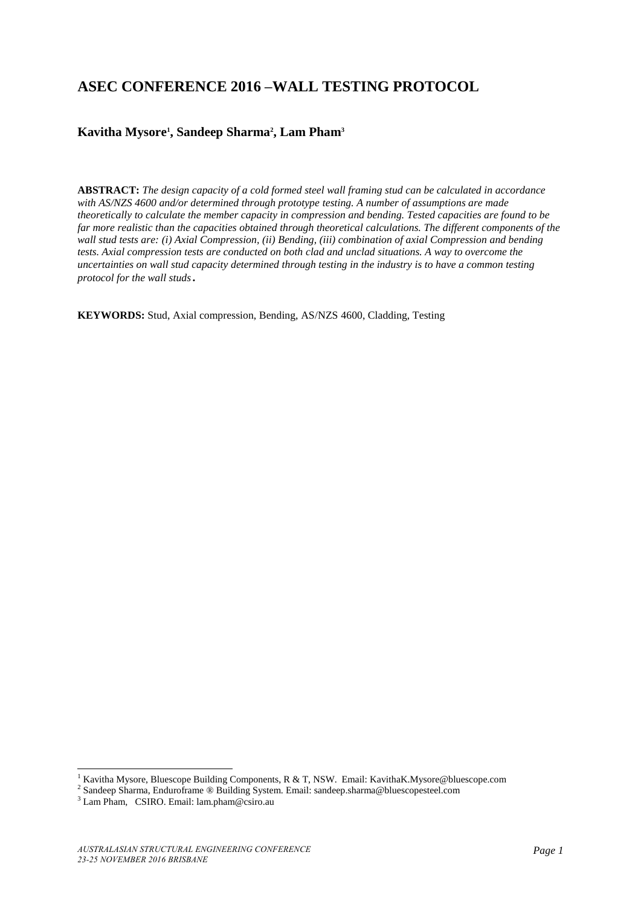# **ASEC CONFERENCE 2016 –WALL TESTING PROTOCOL**

# **Kavitha Mysore<sup>1</sup> , Sandeep Sharma<sup>2</sup> , Lam Pham<sup>3</sup>**

**ABSTRACT:** *The design capacity of a cold formed steel wall framing stud can be calculated in accordance with AS/NZS 4600 and/or determined through prototype testing. A number of assumptions are made theoretically to calculate the member capacity in compression and bending. Tested capacities are found to be far more realistic than the capacities obtained through theoretical calculations. The different components of the wall stud tests are: (i) Axial Compression, (ii) Bending, (iii) combination of axial Compression and bending tests. Axial compression tests are conducted on both clad and unclad situations. A way to overcome the uncertainties on wall stud capacity determined through testing in the industry is to have a common testing protocol for the wall studs.*

**KEYWORDS:** Stud, Axial compression, Bending, AS/NZS 4600, Cladding, Testing

<sup>&</sup>lt;sup>1</sup> Kavitha Mysore, Bluescope Building Components, R & T, NSW. Email: KavithaK.Mysore@bluescope.com

<sup>&</sup>lt;sup>2</sup> Sandeep Sharma, Enduroframe ® Building System. Email: sandeep.sharma@bluescopesteel.com

<sup>3</sup> Lam Pham, CSIRO. Email: lam.pham@csiro.au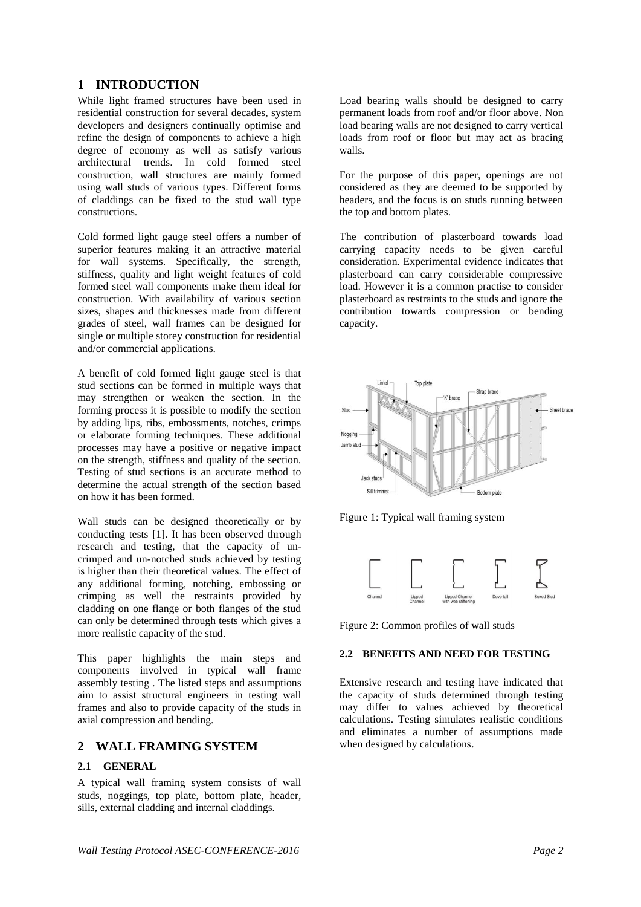# **1 INTRODUCTION**

While light framed structures have been used in residential construction for several decades, system developers and designers continually optimise and refine the design of components to achieve a high degree of economy as well as satisfy various architectural trends. In cold formed steel construction, wall structures are mainly formed using wall studs of various types. Different forms of claddings can be fixed to the stud wall type constructions.

Cold formed light gauge steel offers a number of superior features making it an attractive material for wall systems. Specifically, the strength, stiffness, quality and light weight features of cold formed steel wall components make them ideal for construction. With availability of various section sizes, shapes and thicknesses made from different grades of steel, wall frames can be designed for single or multiple storey construction for residential and/or commercial applications.

A benefit of cold formed light gauge steel is that stud sections can be formed in multiple ways that may strengthen or weaken the section. In the forming process it is possible to modify the section by adding lips, ribs, embossments, notches, crimps or elaborate forming techniques. These additional processes may have a positive or negative impact on the strength, stiffness and quality of the section. Testing of stud sections is an accurate method to determine the actual strength of the section based on how it has been formed.

Wall studs can be designed theoretically or by conducting tests [1]. It has been observed through research and testing, that the capacity of uncrimped and un-notched studs achieved by testing is higher than their theoretical values. The effect of any additional forming, notching, embossing or crimping as well the restraints provided by cladding on one flange or both flanges of the stud can only be determined through tests which gives a more realistic capacity of the stud.

This paper highlights the main steps and components involved in typical wall frame assembly testing . The listed steps and assumptions aim to assist structural engineers in testing wall frames and also to provide capacity of the studs in axial compression and bending.

## **2 WALL FRAMING SYSTEM**

#### **2.1 GENERAL**

A typical wall framing system consists of wall studs, noggings, top plate, bottom plate, header, sills, external cladding and internal claddings.

Load bearing walls should be designed to carry permanent loads from roof and/or floor above. Non load bearing walls are not designed to carry vertical loads from roof or floor but may act as bracing walls.

For the purpose of this paper, openings are not considered as they are deemed to be supported by headers, and the focus is on studs running between the top and bottom plates.

The contribution of plasterboard towards load carrying capacity needs to be given careful consideration. Experimental evidence indicates that plasterboard can carry considerable compressive load. However it is a common practise to consider plasterboard as restraints to the studs and ignore the contribution towards compression or bending capacity.



Figure 1: Typical wall framing system



Figure 2: Common profiles of wall studs

#### **2.2 BENEFITS AND NEED FOR TESTING**

Extensive research and testing have indicated that the capacity of studs determined through testing may differ to values achieved by theoretical calculations. Testing simulates realistic conditions and eliminates a number of assumptions made when designed by calculations.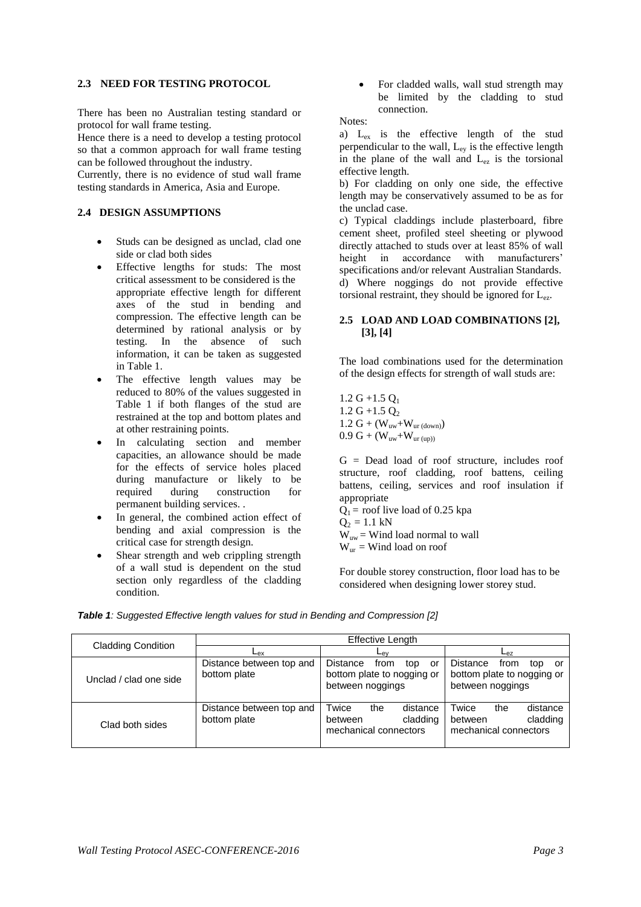#### **2.3 NEED FOR TESTING PROTOCOL**

There has been no Australian testing standard or protocol for wall frame testing.

Hence there is a need to develop a testing protocol so that a common approach for wall frame testing can be followed throughout the industry.

Currently, there is no evidence of stud wall frame testing standards in America, Asia and Europe.

#### **2.4 DESIGN ASSUMPTIONS**

- Studs can be designed as unclad, clad one side or clad both sides
- Effective lengths for studs: The most critical assessment to be considered is the appropriate effective length for different axes of the stud in bending and compression. The effective length can be determined by rational analysis or by testing. In the absence of such information, it can be taken as suggested in Table 1.
- The effective length values may be reduced to 80% of the values suggested in Table 1 if both flanges of the stud are restrained at the top and bottom plates and at other restraining points.
- In calculating section and member capacities, an allowance should be made for the effects of service holes placed during manufacture or likely to be required during construction for permanent building services. .
- In general, the combined action effect of bending and axial compression is the critical case for strength design.
- Shear strength and web crippling strength of a wall stud is dependent on the stud section only regardless of the cladding condition.

 For cladded walls, wall stud strength may be limited by the cladding to stud connection.

Notes:

a) Lex is the effective length of the stud perpendicular to the wall,  $L_{ev}$  is the effective length in the plane of the wall and Lez is the torsional effective length.

b) For cladding on only one side, the effective length may be conservatively assumed to be as for the unclad case.

c) Typical claddings include plasterboard, fibre cement sheet, profiled steel sheeting or plywood directly attached to studs over at least 85% of wall height in accordance with manufacturers' specifications and/or relevant Australian Standards. d) Where noggings do not provide effective torsional restraint, they should be ignored for  $L_{ez}$ .

#### **2.5 LOAD AND LOAD COMBINATIONS [2], [3], [4]**

The load combinations used for the determination of the design effects for strength of wall studs are:

 $1.2 G + 1.5 O<sub>1</sub>$  $1.2$  G +1.5 O<sub>2</sub> 1.2  $G + (W_{uw} + W_{ur (down)})$  $0.9 \text{ G} + (\text{W}_{uw} + \text{W}_{ur (up))}$ 

G = Dead load of roof structure, includes roof structure, roof cladding, roof battens, ceiling battens, ceiling, services and roof insulation if appropriate

 $Q_1$  = roof live load of 0.25 kpa  $Q_2 = 1.1$  kN  $W_{uw}$  = Wind load normal to wall

 $W_{ur}$  = Wind load on roof

For double storey construction, floor load has to be considered when designing lower storey stud.

|                           | <b>Effective Length</b>                  |                                                                                        |                                                                                        |  |  |
|---------------------------|------------------------------------------|----------------------------------------------------------------------------------------|----------------------------------------------------------------------------------------|--|--|
| <b>Cladding Condition</b> | ∟ех                                      | ∟ <sub>ev</sub>                                                                        | ∟еz                                                                                    |  |  |
| Unclad / clad one side    | Distance between top and<br>bottom plate | <b>Distance</b><br>from<br>top<br>or<br>bottom plate to nogging or<br>between noggings | <b>Distance</b><br>from<br>top<br>or<br>bottom plate to nogging or<br>between noggings |  |  |
| Clad both sides           | Distance between top and<br>bottom plate | Twice<br>distance<br>the<br>cladding<br>between<br>mechanical connectors               | Twice<br>distance<br>the<br>cladding<br>between<br>mechanical connectors               |  |  |

*Table 1: Suggested Effective length values for stud in Bending and Compression [2]*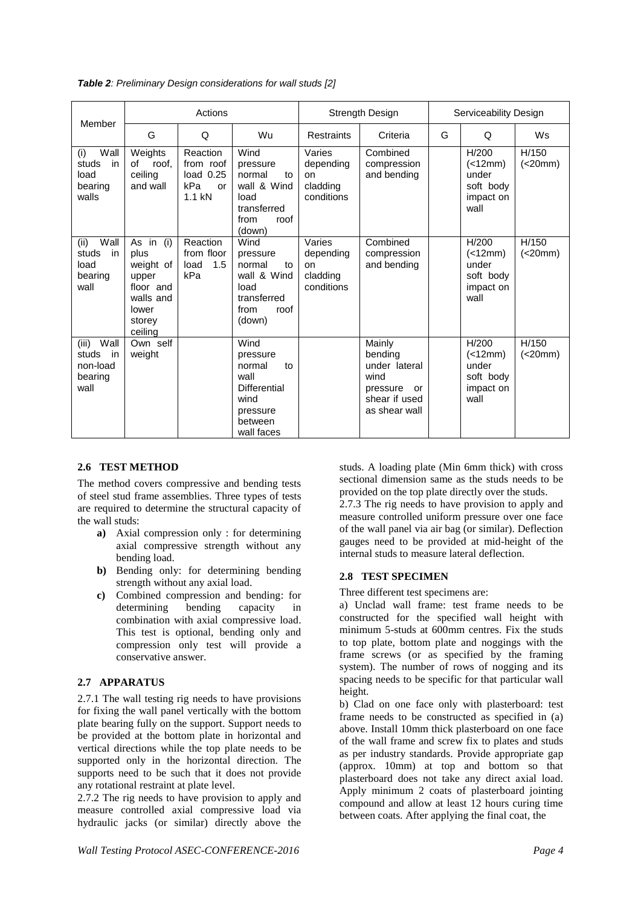|  | <b>Table 2:</b> Preliminary Design considerations for wall studs [2] |  |
|--|----------------------------------------------------------------------|--|
|--|----------------------------------------------------------------------|--|

| Member                                                      |                                                                                                 | Actions                                                       |                                                                                                              | Strength Design                                     |                                                                                                | Serviceability Design |                                                             |                  |
|-------------------------------------------------------------|-------------------------------------------------------------------------------------------------|---------------------------------------------------------------|--------------------------------------------------------------------------------------------------------------|-----------------------------------------------------|------------------------------------------------------------------------------------------------|-----------------------|-------------------------------------------------------------|------------------|
|                                                             | G                                                                                               | Q                                                             | Wu                                                                                                           | Restraints                                          | Criteria                                                                                       | G                     | Q                                                           | Ws               |
| Wall<br>(i)<br>studs<br>in<br>load<br>bearing<br>walls      | Weights<br>of<br>roof.<br>ceiling<br>and wall                                                   | Reaction<br>from roof<br>load $0.25$<br>kPa<br>or<br>$1.1$ kN | Wind<br>pressure<br>normal<br>to<br>wall & Wind<br>load<br>transferred<br>from<br>roof<br>(down)             | Varies<br>depending<br>on<br>cladding<br>conditions | Combined<br>compression<br>and bending                                                         |                       | H/200<br>(<12mm)<br>under<br>soft body<br>impact on<br>wall | H/150<br>(<20mm) |
| Wall<br>(ii)<br>studs<br>in<br>load<br>bearing<br>wall      | As in (i)<br>plus<br>weight of<br>upper<br>floor and<br>walls and<br>lower<br>storey<br>ceiling | Reaction<br>from floor<br>load<br>1.5<br>kPa                  | Wind<br>pressure<br>normal<br>to<br>wall & Wind<br>load<br>transferred<br>from<br>roof<br>(down)             | Varies<br>depending<br>on<br>cladding<br>conditions | Combined<br>compression<br>and bending                                                         |                       | H/200<br>(<12mm)<br>under<br>soft body<br>impact on<br>wall | H/150<br>(<20mm) |
| (iii)<br>Wall<br>studs<br>in<br>non-load<br>bearing<br>wall | Own self<br>weight                                                                              |                                                               | Wind<br>pressure<br>normal<br>to<br>wall<br><b>Differential</b><br>wind<br>pressure<br>between<br>wall faces |                                                     | Mainly<br>bendina<br>under lateral<br>wind<br>pressure<br>or<br>shear if used<br>as shear wall |                       | H/200<br>(<12mm)<br>under<br>soft body<br>impact on<br>wall | H/150<br>(<20mm) |

## **2.6 TEST METHOD**

The method covers compressive and bending tests of steel stud frame assemblies. Three types of tests are required to determine the structural capacity of the wall studs:

- **a)** Axial compression only : for determining axial compressive strength without any bending load.
- **b)** Bending only: for determining bending strength without any axial load.
- **c)** Combined compression and bending: for determining bending capacity in combination with axial compressive load. This test is optional, bending only and compression only test will provide a conservative answer.

## **2.7 APPARATUS**

2.7.1 The wall testing rig needs to have provisions for fixing the wall panel vertically with the bottom plate bearing fully on the support. Support needs to be provided at the bottom plate in horizontal and vertical directions while the top plate needs to be supported only in the horizontal direction. The supports need to be such that it does not provide any rotational restraint at plate level.

2.7.2 The rig needs to have provision to apply and measure controlled axial compressive load via hydraulic jacks (or similar) directly above the

internal studs to measure lateral deflection. **2.8 TEST SPECIMEN** Three different test specimens are: a) Unclad wall frame: test frame needs to be constructed for the specified wall height with minimum 5-studs at 600mm centres. Fix the studs to top plate, bottom plate and noggings with the

frame screws (or as specified by the framing system). The number of rows of nogging and its spacing needs to be specific for that particular wall height.

studs. A loading plate (Min 6mm thick) with cross sectional dimension same as the studs needs to be provided on the top plate directly over the studs. 2.7.3 The rig needs to have provision to apply and measure controlled uniform pressure over one face of the wall panel via air bag (or similar). Deflection gauges need to be provided at mid-height of the

b) Clad on one face only with plasterboard: test frame needs to be constructed as specified in (a) above. Install 10mm thick plasterboard on one face of the wall frame and screw fix to plates and studs as per industry standards. Provide appropriate gap (approx. 10mm) at top and bottom so that plasterboard does not take any direct axial load. Apply minimum 2 coats of plasterboard jointing compound and allow at least 12 hours curing time between coats. After applying the final coat, the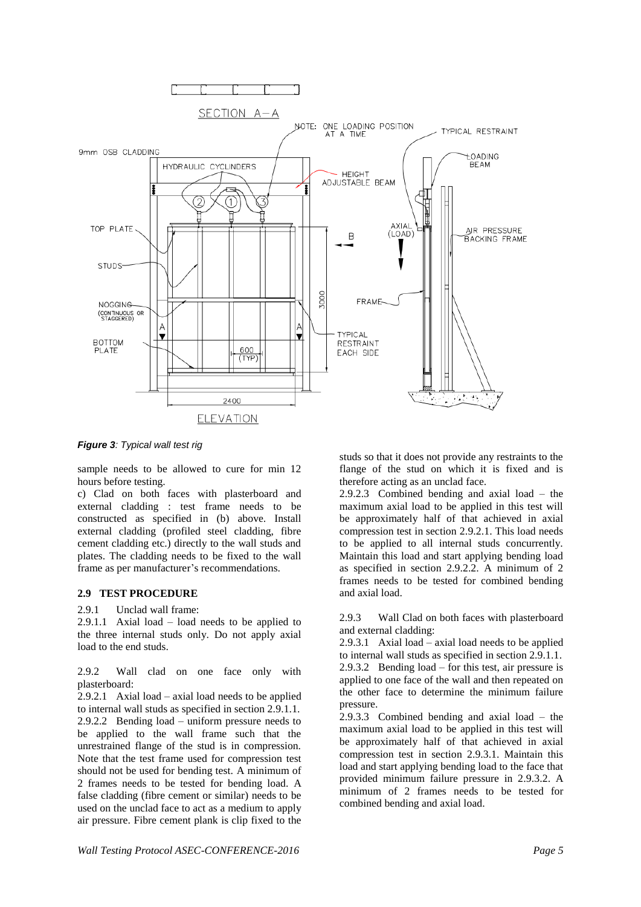

*Figure 3: Typical wall test rig*

sample needs to be allowed to cure for min 12 hours before testing.

c) Clad on both faces with plasterboard and external cladding : test frame needs to be constructed as specified in (b) above. Install external cladding (profiled steel cladding, fibre cement cladding etc.) directly to the wall studs and plates. The cladding needs to be fixed to the wall frame as per manufacturer's recommendations.

#### **2.9 TEST PROCEDURE**

2.9.1 Unclad wall frame:

2.9.1.1 Axial load – load needs to be applied to the three internal studs only. Do not apply axial load to the end studs.

2.9.2 Wall clad on one face only with plasterboard:

2.9.2.1 Axial load – axial load needs to be applied to internal wall studs as specified in section 2.9.1.1. 2.9.2.2 Bending load – uniform pressure needs to be applied to the wall frame such that the unrestrained flange of the stud is in compression. Note that the test frame used for compression test should not be used for bending test. A minimum of 2 frames needs to be tested for bending load. A false cladding (fibre cement or similar) needs to be used on the unclad face to act as a medium to apply air pressure. Fibre cement plank is clip fixed to the

studs so that it does not provide any restraints to the flange of the stud on which it is fixed and is therefore acting as an unclad face.

2.9.2.3 Combined bending and axial load – the maximum axial load to be applied in this test will be approximately half of that achieved in axial compression test in section 2.9.2.1. This load needs to be applied to all internal studs concurrently. Maintain this load and start applying bending load as specified in section 2.9.2.2. A minimum of 2 frames needs to be tested for combined bending and axial load.

2.9.3 Wall Clad on both faces with plasterboard and external cladding:

2.9.3.1 Axial load – axial load needs to be applied to internal wall studs as specified in section 2.9.1.1. 2.9.3.2 Bending load – for this test, air pressure is applied to one face of the wall and then repeated on the other face to determine the minimum failure pressure.

2.9.3.3 Combined bending and axial load – the maximum axial load to be applied in this test will be approximately half of that achieved in axial compression test in section 2.9.3.1. Maintain this load and start applying bending load to the face that provided minimum failure pressure in 2.9.3.2. A minimum of 2 frames needs to be tested for combined bending and axial load.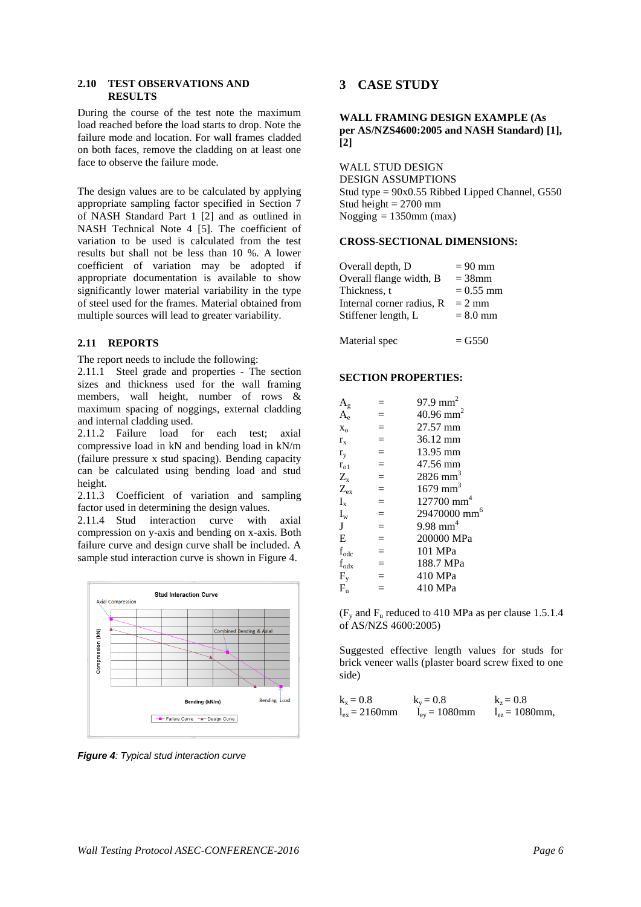#### **2.10 TEST OBSERVATIONS AND RESULTS**

During the course of the test note the maximum load reached before the load starts to drop. Note the failure mode and location. For wall frames cladded on both faces, remove the cladding on at least one face to observe the failure mode.

The design values are to be calculated by applying appropriate sampling factor specified in Section 7 of NASH Standard Part 1 [2] and as outlined in NASH Technical Note 4 [5]. The coefficient of variation to be used is calculated from the test results but shall not be less than 10 %. A lower coefficient of variation may be adopted if appropriate documentation is available to show significantly lower material variability in the type of steel used for the frames. Material obtained from multiple sources will lead to greater variability.

#### **2.11 REPORTS**

The report needs to include the following:

2.11.1 Steel grade and properties - The section sizes and thickness used for the wall framing members, wall height, number of rows  $\&$ maximum spacing of noggings, external cladding and internal cladding used.

2.11.2 Failure load for each test; axial compressive load in kN and bending load in kN/m (failure pressure x stud spacing). Bending capacity can be calculated using bending load and stud height.

2.11.3 Coefficient of variation and sampling factor used in determining the design values.

2.11.4 Stud interaction curve with axial compression on y-axis and bending on x-axis. Both failure curve and design curve shall be included. A sample stud interaction curve is shown in Figure 4.



*Figure 4: Typical stud interaction curve*

# **3 CASE STUDY**

**WALL FRAMING DESIGN EXAMPLE (As per AS/NZS4600:2005 and NASH Standard) [1], [2]**

WALL STUD DESIGN DESIGN ASSUMPTIONS Stud type = 90x0.55 Ribbed Lipped Channel, G550 Stud height  $= 2700$  mm Nogging  $= 1350$ mm (max)

#### **CROSS-SECTIONAL DIMENSIONS:**

| Overall depth, D          | $= 90$ mm   |
|---------------------------|-------------|
| Overall flange width, B   | $=$ 38 $mm$ |
| Thickness, t              | $= 0.55$ mm |
| Internal corner radius. R | $= 2$ mm    |
| Stiffener length, L       | $= 8.0$ mm  |
|                           |             |

Material spec  $=$   $G550$ 

#### **SECTION PROPERTIES:**

| $\rm A_g$                     |     | 97.9 mm <sup>2</sup>     |
|-------------------------------|-----|--------------------------|
| $A_{\scriptscriptstyle\rm e}$ | $=$ | $40.96$ mm <sup>2</sup>  |
| $X_0$                         | $=$ | 27.57 mm                 |
| $r_{x}$                       | $=$ | 36.12 mm                 |
| $r_{v}$                       | $=$ | 13.95 mm                 |
| $r_{01}$                      | $=$ | 47.56 mm                 |
| $Z_{\rm x}$                   | $=$ | $2826$ mm <sup>3</sup>   |
| $Z_{ex}$                      | $=$ | $1679$ mm <sup>3</sup>   |
| $I_{x}$                       | $=$ | $127700$ mm <sup>4</sup> |
| $I_{w}$                       | $=$ | 29470000 mm              |
| J                             | $=$ | $9.98$ mm <sup>4</sup>   |
| E                             | $=$ | 200000 MPa               |
| $\mathbf{f}_{\text{odc}}$     | $=$ | 101 MPa                  |
| $f_{\text{odx}}$              | $=$ | 188.7 MPa                |
| $F_v$                         | $=$ | 410 MPa                  |
| $F_{\rm u}$                   |     | 410 MPa                  |
|                               |     |                          |

 $(F_v$  and  $F_u$  reduced to 410 MPa as per clause 1.5.1.4 of AS/NZS 4600:2005)

Suggested effective length values for studs for brick veneer walls (plaster board screw fixed to one side)

| $k_{x} = 0.8$      | $k_{v} = 0.8$      | $k_z = 0.8$             |
|--------------------|--------------------|-------------------------|
| $l_{ex} = 2160$ mm | $l_{ev} = 1080$ mm | $l_{\rm ez} = 1080$ mm, |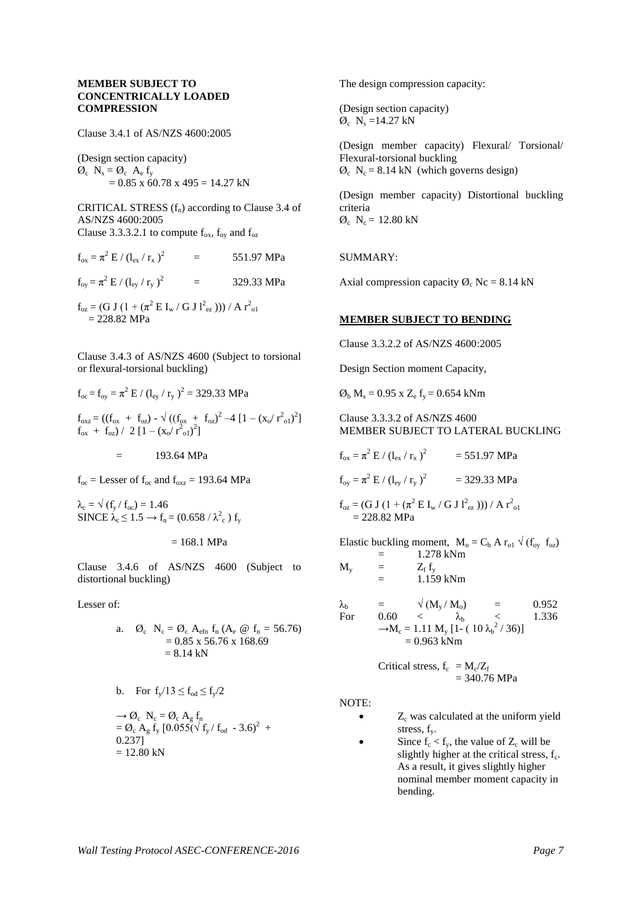#### **MEMBER SUBJECT TO CONCENTRICALLY LOADED COMPRESSION**

Clause 3.4.1 of AS/NZS 4600:2005

(Design section capacity)  $\emptyset_c$  N<sub>s</sub> =  $\emptyset_c$  A<sub>e</sub> f<sub>y</sub>  $= 0.85$  x 60.78 x 495 = 14.27 kN

CRITICAL STRESS  $(f_n)$  according to Clause 3.4 of AS/NZS 4600:2005 Clause 3.3.3.2.1 to compute  $f_{ox}$ ,  $f_{ox}$  and  $f_{oz}$ 

 $f_{ox} = \pi^2 E / (l_{ex} / r_x)^2$ = 551.97 MPa  $f_{oy} = \pi^2 E / (l_{ey} / r_y)^2$  = 329.33 MPa  $f_{oz} = (G J (1 + (\pi^2 E I_w / G J I_{ez}^2))) / A r_{o1}^2$ 

 $= 228.82$  MPa

Clause 3.4.3 of AS/NZS 4600 (Subject to torsional or flexural-torsional buckling)

$$
f_{oc} = f_{oy} = \pi^2 E / (l_{ey} / r_y)^2 = 329.33 \text{ MPa}
$$
  
\n
$$
f_{oxz} = ((f_{ox} + f_{oz}) - \sqrt{((f_{ox} + f_{oz})^2 - 4 [1 - (x_o / r_{ol}^2)^2]}
$$
  
\n
$$
f_{ox} + f_{oz}) / 2 [1 - (x_o / r_{ol}^2)^2]
$$
  
\n
$$
= 193.64 \text{ MPa}
$$

 $f_{\text{oc}} =$  Lesser of  $f_{\text{oc}}$  and  $f_{\text{oxz}} = 193.64$  MPa

 $\lambda_c = \sqrt{(f_v / f_{oc})} = 1.46$ SINCE  $\lambda_c \leq 1.5 \rightarrow f_n = (0.658 / \lambda_c^2) f_y$ 

$$
= 168.1 \text{ MPa}
$$

Clause 3.4.6 of AS/NZS 4600 (Subject to distortional buckling)

Lesser of:

a. 
$$
\emptyset_c
$$
 N<sub>c</sub> =  $\emptyset_c$  A<sub>efn</sub> f<sub>n</sub> (A<sub>e</sub> @ f<sub>n</sub> = 56.76)  
= 0.85 x 56.76 x 168.69  
= 8.14 kN

b. For 
$$
f_y/13 \le f_{od} \le f_y/2
$$

 $\rightarrow \emptyset_c$  N<sub>c</sub> =  $\emptyset_c$  A<sub>g</sub> f<sub>n</sub>  $= \mathcal{O}_c A_g f_y [0.055 \sqrt{\frac{f_y}{f_{od}}} - 3.6)^2 +$ 0.237]  $= 12.80$  kN

The design compression capacity:

(Design section capacity)  $\varnothing$ <sub>c</sub> N<sub>s</sub> =14.27 kN

(Design member capacity) Flexural/ Torsional/ Flexural-torsional buckling  $\varnothing$ <sub>c</sub> N<sub>c</sub> = 8.14 kN (which governs design)

(Design member capacity) Distortional buckling criteria  $\varnothing_c$  N<sub>c</sub> = 12.80 kN

SUMMARY:

Axial compression capacity  $\varnothing_c$  Nc = 8.14 kN

#### **MEMBER SUBJECT TO BENDING**

Clause 3.3.2.2 of AS/NZS 4600:2005

Design Section moment Capacity,

 $\emptyset_b$  M<sub>s</sub> = 0.95 x Z<sub>e</sub> f<sub>y</sub> = 0.654 kNm

Clause 3.3.3.2 of AS/NZS 4600 MEMBER SUBJECT TO LATERAL BUCKLING

 $f_{ox} = \pi^2 E / (l_{ex} / r_x)^2$  = 551.97 MPa

 $f_{oy} = \pi^2 E / (l_{ey} / r_y)^2$  = 329.33 MPa

$$
f_{oz} = (G J (1 + (\pi^2 E I_w / G J I_{ez}^2))) / A r_{o1}^2
$$
  
= 228.82 MPa

Elastic buckling moment,  $M_0 = C_b A r_{o1} \sqrt{(f_{ov} f_{oz})}$ 

$$
M_{y} = 1.278 \text{ kNm}
$$
  
=  $Z_{f} f_{y}$   
= 1.159 kNm

 $\lambda_{\rm b}$  =  $\sqrt{(M_{\rm v}/M_{\rm o})}$  = 0.952 For 0.60 <  $\lambda_b$  < 1.336  $-M_c = 1.11 M_y [1-(10 \lambda_b^2 / 36)]$  $= 0.963$  kNm

> Critical stress,  $f_c = M_c/Z_f$  $= 340.76 \text{ MPa}$

NOTE:

- $Z<sub>c</sub>$  was calculated at the uniform vield stress,  $f_v$ .
- Since  $f_c < f_y$ , the value of  $Z_c$  will be slightly higher at the critical stress, f<sub>c</sub>. As a result, it gives slightly higher nominal member moment capacity in bending.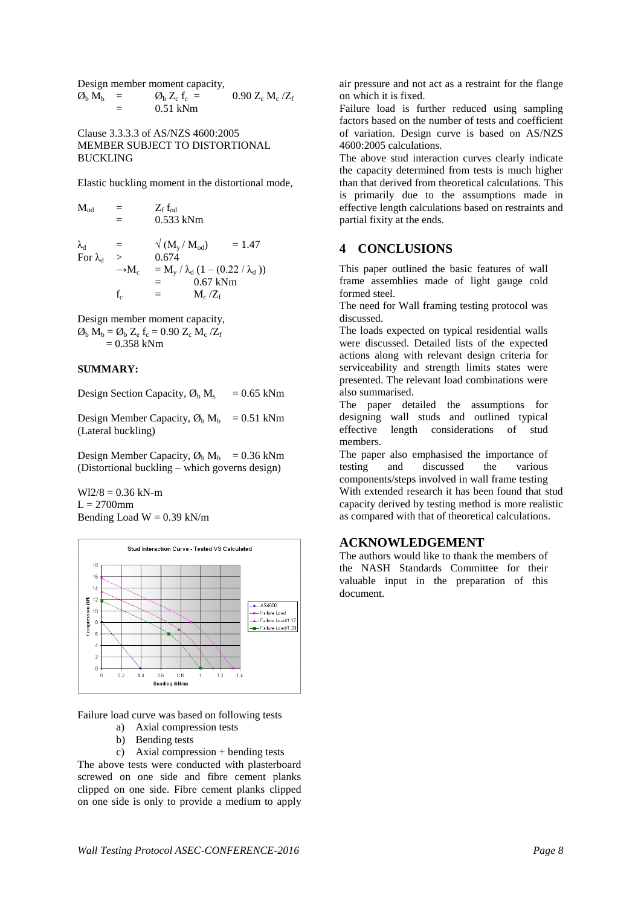Design member moment capacity,  $\emptyset$ <sub>b</sub> M<sub>b</sub> =  $\emptyset$ <sub>b</sub> Z<sub>c</sub> f<sub>c</sub> = 0.90 Z<sub>c</sub> M<sub>c</sub>/Z<sub>f</sub> = 0.51 kNm

Clause 3.3.3.3 of AS/NZS 4600:2005 MEMBER SUBJECT TO DISTORTIONAL BUCKLING

Elastic buckling moment in the distortional mode,

| $\rm M_{od}$      |                   | $Z_{\rm f}\,{\rm f}_{\rm od}$                      |          |
|-------------------|-------------------|----------------------------------------------------|----------|
|                   | $=$               | 0.533 kNm                                          |          |
| $\lambda_{\rm d}$ | $=$               | $\sqrt{(M_y/M_{od})}$                              | $= 1.47$ |
| For $\lambda_d$   | $\mathbf{I}$      | 0.674                                              |          |
|                   | $\rightarrow M_c$ | $= M_{v} / \lambda_{d} (1 - (0.22 / \lambda_{d}))$ |          |
|                   |                   | $0.67$ kNm<br>$=$                                  |          |
|                   | f.                | $M_c/Z_f$<br>$=$                                   |          |

Design member moment capacity,  $\mathcal{O}_b$  M<sub>b</sub> =  $\mathcal{O}_b$  Z<sub>e</sub> f<sub>c</sub> = 0.90 Z<sub>c</sub> M<sub>c</sub>/Z<sub>f</sub>  $= 0.358$  kNm

#### **SUMMARY:**

Design Section Capacity,  $\mathcal{O}_b$  M<sub>s</sub> = 0.65 kNm

Design Member Capacity,  $\mathcal{O}_b$  M<sub>b</sub> = 0.51 kNm (Lateral buckling)

Design Member Capacity,  $\varnothing_b$  M<sub>b</sub> = 0.36 kNm (Distortional buckling – which governs design)

 $W12/8 = 0.36$  kN-m  $L = 2700$ mm Bending Load  $W = 0.39$  kN/m



Failure load curve was based on following tests

- a) Axial compression tests
- b) Bending tests

c) Axial compression + bending tests The above tests were conducted with plasterboard screwed on one side and fibre cement planks clipped on one side. Fibre cement planks clipped on one side is only to provide a medium to apply air pressure and not act as a restraint for the flange on which it is fixed.

Failure load is further reduced using sampling factors based on the number of tests and coefficient of variation. Design curve is based on AS/NZS 4600:2005 calculations.

The above stud interaction curves clearly indicate the capacity determined from tests is much higher than that derived from theoretical calculations. This is primarily due to the assumptions made in effective length calculations based on restraints and partial fixity at the ends.

#### **4 CONCLUSIONS**

This paper outlined the basic features of wall frame assemblies made of light gauge cold formed steel.

The need for Wall framing testing protocol was discussed.

The loads expected on typical residential walls were discussed. Detailed lists of the expected actions along with relevant design criteria for serviceability and strength limits states were presented. The relevant load combinations were also summarised.

The paper detailed the assumptions for designing wall studs and outlined typical effective length considerations of stud members.

The paper also emphasised the importance of testing and discussed the various components/steps involved in wall frame testing With extended research it has been found that stud capacity derived by testing method is more realistic as compared with that of theoretical calculations.

#### **ACKNOWLEDGEMENT**

The authors would like to thank the members of the NASH Standards Committee for their valuable input in the preparation of this document.